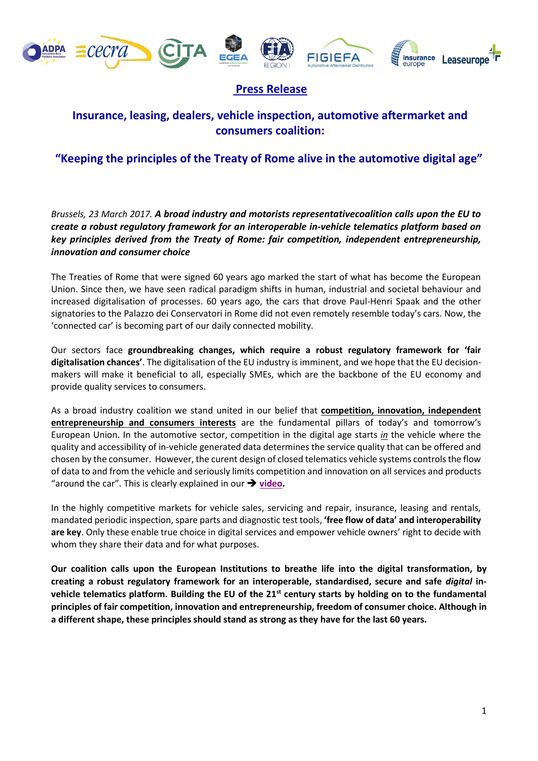









## **Press Release**

## **Insurance, leasing, dealers, vehicle inspection, automotive aftermarket and consumers coalition:**

## **"Keeping the principles of the Treaty of Rome alive in the automotive digital age"**

*Brussels, 23 March 2017. A broad industry and motorists representativecoalition calls upon the EU to create a robust regulatory framework for an interoperable in-vehicle telematics platform based on key principles derived from the Treaty of Rome: fair competition, independent entrepreneurship, innovation and consumer choice*

The Treaties of Rome that were signed 60 years ago marked the start of what has become the European Union. Since then, we have seen radical paradigm shifts in human, industrial and societal behaviour and increased digitalisation of processes. 60 years ago, the cars that drove Paul-Henri Spaak and the other signatories to the Palazzo dei Conservatori in Rome did not even remotely resemble today's cars. Now, the 'connected car' is becoming part of our daily connected mobility.

Our sectors face **groundbreaking changes, which require a robust regulatory framework for 'fair digitalisation chances'**. The digitalisation of the EU industry is imminent, and we hope that the EU decisionmakers will make it beneficial to all, especially SMEs, which are the backbone of the EU economy and provide quality services to consumers.

As a broad industry coalition we stand united in our belief that **competition, innovation, independent entrepreneurship and consumers interests** are the fundamental pillars of today's and tomorrow's European Union. In the automotive sector, competition in the digital age starts *in* the vehicle where the quality and accessibility of in-vehicle generated data determines the service quality that can be offered and chosen by the consumer. However, the curent design of closed telematics vehicle systems controls the flow of data to and from the vehicle and seriously limits competition and innovation on all services and products "around the car". This is clearly explained in our  $\rightarrow$  [video.](https://vimeo.com/209369640)

In the highly competitive markets for vehicle sales, servicing and repair, insurance, leasing and rentals, mandated periodic inspection, spare parts and diagnostic test tools, **'free flow of data' and interoperability are key**. Only these enable true choice in digital services and empower vehicle owners' right to decide with whom they share their data and for what purposes.

**Our coalition calls upon the European Institutions to breathe life into the digital transformation, by creating a robust regulatory framework for an interoperable, standardised, secure and safe** *digital* **invehicle telematics platform. Building the EU of the 21st century starts by holding on to the fundamental principles of fair competition, innovation and entrepreneurship, freedom of consumer choice. Although in a different shape, these principles should stand as strong as they have for the last 60 years.**